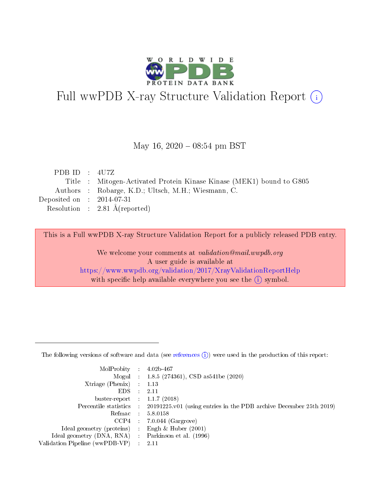

# Full wwPDB X-ray Structure Validation Report (i)

#### May 16,  $2020 - 08:54$  pm BST

| PDB ID : $4U7Z$             |                                                                      |
|-----------------------------|----------------------------------------------------------------------|
|                             | Title : Mitogen-Activated Protein Kinase Kinase (MEK1) bound to G805 |
|                             | Authors : Robarge, K.D.; Ultsch, M.H.; Wiesmann, C.                  |
| Deposited on : $2014-07-31$ |                                                                      |
|                             | Resolution : $2.81 \text{ Å}$ (reported)                             |
|                             |                                                                      |

This is a Full wwPDB X-ray Structure Validation Report for a publicly released PDB entry.

We welcome your comments at validation@mail.wwpdb.org A user guide is available at <https://www.wwpdb.org/validation/2017/XrayValidationReportHelp> with specific help available everywhere you see the  $(i)$  symbol.

The following versions of software and data (see [references](https://www.wwpdb.org/validation/2017/XrayValidationReportHelp#references)  $(1)$ ) were used in the production of this report:

| $MolProbability$ 4.02b-467                          |               |                                                                                            |
|-----------------------------------------------------|---------------|--------------------------------------------------------------------------------------------|
|                                                     |               | Mogul : 1.8.5 (274361), CSD as 541be (2020)                                                |
| $Xtriangle (Phenix)$ : 1.13                         |               |                                                                                            |
| EDS -                                               | $\mathcal{L}$ | 2.11                                                                                       |
| buster-report : $1.1.7(2018)$                       |               |                                                                                            |
|                                                     |               | Percentile statistics : 20191225.v01 (using entries in the PDB archive December 25th 2019) |
| Refmac $5.8.0158$                                   |               |                                                                                            |
|                                                     |               | $CCP4$ : 7.0.044 (Gargrove)                                                                |
| Ideal geometry (proteins) :                         |               | Engh $\&$ Huber (2001)                                                                     |
| Ideal geometry (DNA, RNA) : Parkinson et al. (1996) |               |                                                                                            |
| Validation Pipeline (wwPDB-VP) : 2.11               |               |                                                                                            |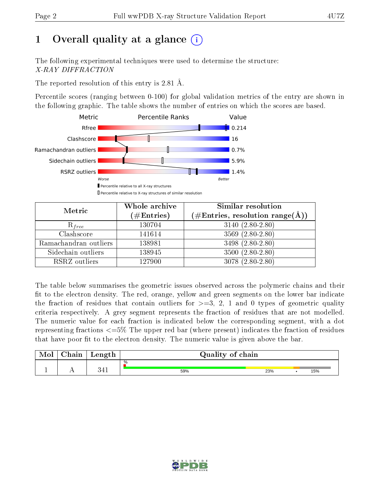# 1 [O](https://www.wwpdb.org/validation/2017/XrayValidationReportHelp#overall_quality)verall quality at a glance  $(i)$

The following experimental techniques were used to determine the structure: X-RAY DIFFRACTION

The reported resolution of this entry is 2.81 Å.

Percentile scores (ranging between 0-100) for global validation metrics of the entry are shown in the following graphic. The table shows the number of entries on which the scores are based.



| Metric                | Whole archive<br>$(\#\text{Entries})$ | Similar resolution<br>$(\#\text{Entries},\,\text{resolution}\,\,\text{range}(\textup{\AA}))$ |
|-----------------------|---------------------------------------|----------------------------------------------------------------------------------------------|
| $R_{free}$            | 130704                                | $3140(2.80-2.80)$                                                                            |
| Clashscore            | 141614                                | $3569(2.80-2.80)$                                                                            |
| Ramachandran outliers | 138981                                | $3498(2.80-2.80)$                                                                            |
| Sidechain outliers    | 138945                                | $3500(2.80-2.80)$                                                                            |
| RSRZ outliers         | 127900                                | $3078(2.80-2.80)$                                                                            |

The table below summarises the geometric issues observed across the polymeric chains and their fit to the electron density. The red, orange, yellow and green segments on the lower bar indicate the fraction of residues that contain outliers for  $>=3, 2, 1$  and 0 types of geometric quality criteria respectively. A grey segment represents the fraction of residues that are not modelled. The numeric value for each fraction is indicated below the corresponding segment, with a dot representing fractions <=5% The upper red bar (where present) indicates the fraction of residues that have poor fit to the electron density. The numeric value is given above the bar.

| Mol | $\cap$ hain | Length     | Quality of chain |     |     |
|-----|-------------|------------|------------------|-----|-----|
| л.  | . .         | 911<br>リキエ | %<br>59%         | 23% | 15% |

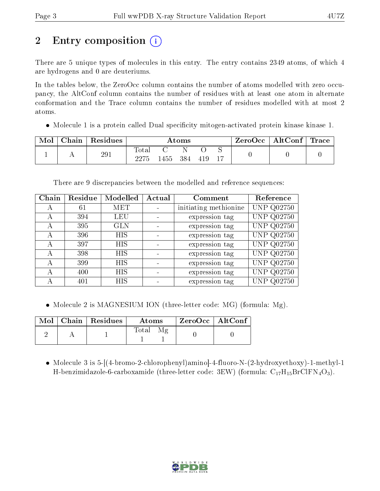# 2 Entry composition  $\left( \cdot \right)$

There are 5 unique types of molecules in this entry. The entry contains 2349 atoms, of which 4 are hydrogens and 0 are deuteriums.

In the tables below, the ZeroOcc column contains the number of atoms modelled with zero occupancy, the AltConf column contains the number of residues with at least one atom in alternate conformation and the Trace column contains the number of residues modelled with at most 2 atoms.

• Molecule 1 is a protein called Dual specificity mitogen-activated protein kinase kinase 1.

| Mol | Chain | Residues |                     |       | Atoms |     |  | $ZeroOcc \mid AltConf \mid$ | $\operatorname{Trace}\nolimits$ $\mid$ |
|-----|-------|----------|---------------------|-------|-------|-----|--|-----------------------------|----------------------------------------|
|     |       | 291      | $\rm Total$<br>つつケド | 1455- | 384   | 419 |  |                             |                                        |

There are 9 discrepancies between the modelled and reference sequences:

| Chain | Residue | Modelled   | Actual | Comment               | Reference         |
|-------|---------|------------|--------|-----------------------|-------------------|
| А     | 61      | <b>MET</b> |        | initiating methionine | <b>UNP Q02750</b> |
| А     | 394     | <b>LEU</b> |        | expression tag        | <b>UNP Q02750</b> |
| А     | 395     | <b>GLN</b> |        | expression tag        | <b>UNP Q02750</b> |
| А     | 396     | <b>HIS</b> |        | expression tag        | <b>UNP Q02750</b> |
|       | 397     | HIS        |        | expression tag        | <b>UNP Q02750</b> |
| A     | 398     | HIS        |        | expression tag        | <b>UNP Q02750</b> |
| А     | 399     | HIS        |        | expression tag        | <b>UNP Q02750</b> |
|       | 400     | HIS        |        | expression tag        | <b>UNP Q02750</b> |
|       | 401     | HIS        |        | expression tag        | <b>UNP Q02750</b> |

• Molecule 2 is MAGNESIUM ION (three-letter code: MG) (formula: Mg).

|  | $\text{Mol}$   Chain   Residues | Atoms | $\,$ ZeroOcc   AltConf $\,$ |  |
|--|---------------------------------|-------|-----------------------------|--|
|  |                                 | Total |                             |  |

• Molecule 3 is 5-(4-bromo-2-chlorophenyl)amino - 4-fluoro-N-(2-hydroxyethoxy)-1-methyl-1 H-benzimidazole-6-carboxamide (three-letter code: 3EW) (formula:  $C_{17}H_{15}BrClFN_4O_3$ ).

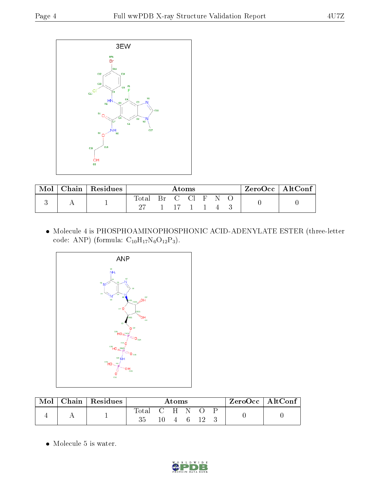

| $\text{Chain}$ | $\perp$ Residues | $\rm{Atoms}$ |  |                                    |  | $\lq$ ZeroOcc $\lq$ AltConf $\lq$ |  |  |  |
|----------------|------------------|--------------|--|------------------------------------|--|-----------------------------------|--|--|--|
|                |                  | Total        |  | $C \quad \text{Cl} \quad \text{F}$ |  |                                   |  |  |  |
|                |                  | -27          |  | 1 17 1 1 4                         |  |                                   |  |  |  |

 Molecule 4 is PHOSPHOAMINOPHOSPHONIC ACID-ADENYLATE ESTER (three-letter code: ANP) (formula:  $C_{10}H_{17}N_6O_{12}P_3$ ).



| Mol | Chain   Residues | Atoms           |  |  |  | $\rm ZeroOcc \mid AltConf$ |  |  |  |
|-----|------------------|-----------------|--|--|--|----------------------------|--|--|--|
|     |                  | Total C H N O P |  |  |  | - 4 6 12                   |  |  |  |

• Molecule 5 is water.

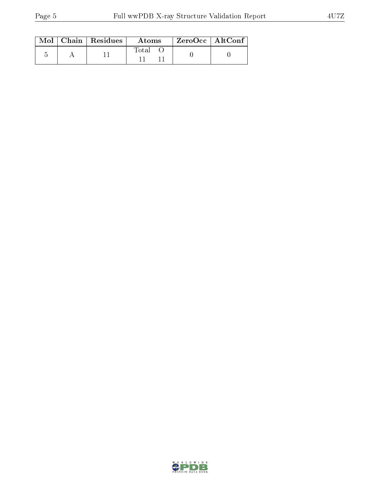|  | $\text{Mol}$   Chain   Residues | <b>Atoms</b> | ZeroOcc   AltConf |  |
|--|---------------------------------|--------------|-------------------|--|
|  |                                 | Total        |                   |  |

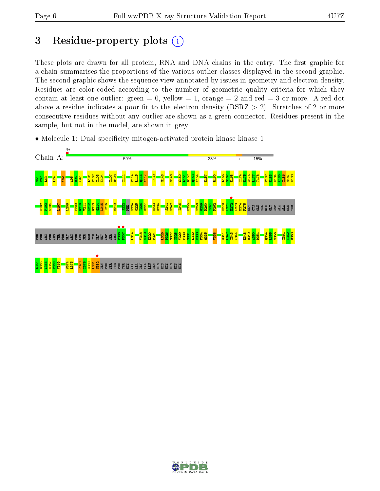## 3 Residue-property plots  $(i)$

These plots are drawn for all protein, RNA and DNA chains in the entry. The first graphic for a chain summarises the proportions of the various outlier classes displayed in the second graphic. The second graphic shows the sequence view annotated by issues in geometry and electron density. Residues are color-coded according to the number of geometric quality criteria for which they contain at least one outlier: green  $= 0$ , yellow  $= 1$ , orange  $= 2$  and red  $= 3$  or more. A red dot above a residue indicates a poor fit to the electron density (RSRZ  $> 2$ ). Stretches of 2 or more consecutive residues without any outlier are shown as a green connector. Residues present in the sample, but not in the model, are shown in grey.



• Molecule 1: Dual specificity mitogen-activated protein kinase kinase 1

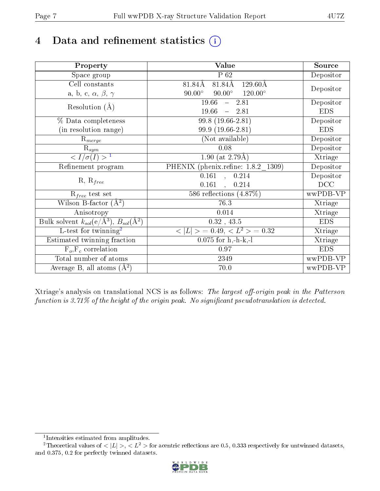# 4 Data and refinement statistics  $(i)$

| Property                                                             | <b>Value</b>                                       | Source     |
|----------------------------------------------------------------------|----------------------------------------------------|------------|
| Space group                                                          | $P_62$                                             | Depositor  |
| Cell constants                                                       | 81.84Å<br>$129.60\text{\AA}$<br>81.84Å             | Depositor  |
| a, b, c, $\alpha$ , $\beta$ , $\gamma$                               | $120.00^{\circ}$<br>$90.00^\circ$<br>$90.00^\circ$ |            |
| Resolution $(A)$                                                     | 19.66<br>2.81<br>$\frac{1}{2}$                     | Depositor  |
|                                                                      | 19.66<br>2.81<br>$\frac{1}{2}$                     | <b>EDS</b> |
| % Data completeness                                                  | 99.8 (19.66-2.81)                                  | Depositor  |
| (in resolution range)                                                | 99.9 (19.66-2.81)                                  | <b>EDS</b> |
| $R_{merge}$                                                          | (Not available)                                    | Depositor  |
| $\mathrm{R}_{sym}$                                                   | 0.08                                               | Depositor  |
| $\langle I/\sigma(I) \rangle^{-1}$                                   | 1.90 (at $2.79\text{\AA}$ )                        | Xtriage    |
| Refinement program                                                   | PHENIX (phenix.refine: 1.8.2 1309)                 | Depositor  |
|                                                                      | $\overline{0.161}$ ,<br>0.214                      | Depositor  |
| $R, R_{free}$                                                        | 0.161<br>$\overline{a}$<br>0.214                   | DCC        |
| $R_{free}$ test set                                                  | 586 reflections $(4.87\%)$                         | wwPDB-VP   |
| Wilson B-factor $(A^2)$                                              | 76.3                                               | Xtriage    |
| Anisotropy                                                           | 0.014                                              | Xtriage    |
| Bulk solvent $k_{sol}(e/\mathring{A}^3)$ , $B_{sol}(\mathring{A}^2)$ | $0.32$ , 43.5                                      | <b>EDS</b> |
| L-test for twinning <sup>2</sup>                                     | $>$ = 0.49, < $L^2$ > = 0.32<br>< L                | Xtriage    |
| Estimated twinning fraction                                          | $0.075$ for h,-h-k,-l                              | Xtriage    |
| $F_o, F_c$ correlation                                               | 0.97                                               | <b>EDS</b> |
| Total number of atoms                                                | 2349                                               | wwPDB-VP   |
| Average B, all atoms $(A^2)$                                         | 70.0                                               | wwPDB-VP   |

Xtriage's analysis on translational NCS is as follows: The largest off-origin peak in the Patterson function is  $3.71\%$  of the height of the origin peak. No significant pseudotranslation is detected.

<sup>&</sup>lt;sup>2</sup>Theoretical values of  $\langle |L| \rangle$ ,  $\langle L^2 \rangle$  for acentric reflections are 0.5, 0.333 respectively for untwinned datasets, and 0.375, 0.2 for perfectly twinned datasets.



<span id="page-6-1"></span><span id="page-6-0"></span><sup>1</sup> Intensities estimated from amplitudes.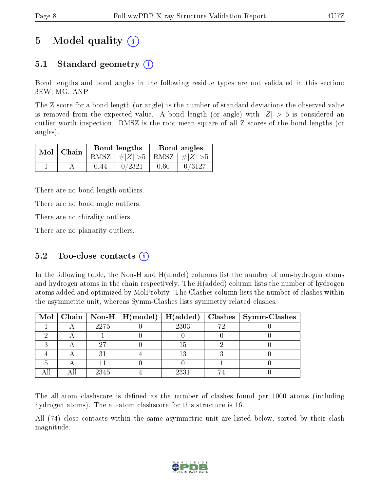## 5 Model quality  $(i)$

## 5.1 Standard geometry (i)

Bond lengths and bond angles in the following residue types are not validated in this section: 3EW, MG, ANP

The Z score for a bond length (or angle) is the number of standard deviations the observed value is removed from the expected value. A bond length (or angle) with  $|Z| > 5$  is considered an outlier worth inspection. RMSZ is the root-mean-square of all Z scores of the bond lengths (or angles).

| $Mol$   Chain |      | Bond lengths                    |      | Bond angles |
|---------------|------|---------------------------------|------|-------------|
|               |      | RMSZ $ #Z  > 5$ RMSZ $ #Z  > 5$ |      |             |
|               | 0.44 | 0/2321                          | 0.60 | 0/3127      |

There are no bond length outliers.

There are no bond angle outliers.

There are no chirality outliers.

There are no planarity outliers.

### 5.2 Too-close contacts  $(i)$

In the following table, the Non-H and H(model) columns list the number of non-hydrogen atoms and hydrogen atoms in the chain respectively. The H(added) column lists the number of hydrogen atoms added and optimized by MolProbity. The Clashes column lists the number of clashes within the asymmetric unit, whereas Symm-Clashes lists symmetry related clashes.

|  |      |      | Mol   Chain   Non-H   H(model)   H(added)   Clashes   Symm-Clashes |
|--|------|------|--------------------------------------------------------------------|
|  | 2275 | 2303 |                                                                    |
|  |      |      |                                                                    |
|  | 97   |      |                                                                    |
|  |      |      |                                                                    |
|  |      |      |                                                                    |
|  | 2345 | 2331 |                                                                    |

The all-atom clashscore is defined as the number of clashes found per 1000 atoms (including hydrogen atoms). The all-atom clashscore for this structure is 16.

All (74) close contacts within the same asymmetric unit are listed below, sorted by their clash magnitude.

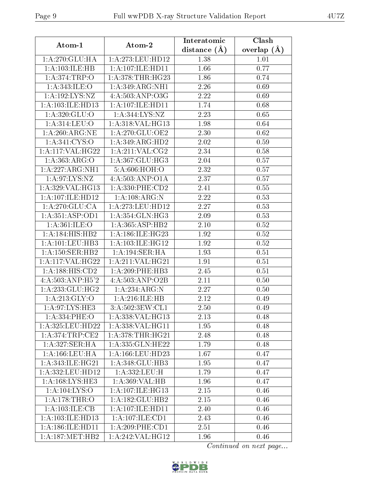| Atom-1                      | Atom-2               | Interatomic      | Clash         |
|-----------------------------|----------------------|------------------|---------------|
|                             |                      | distance $(\AA)$ | overlap $(A)$ |
| 1: A:270: GLU:HA            | 1: A:273: LEU: HD12  | 1.38             | 1.01          |
| 1:A:103:ILE:HB              | 1:A:107:ILE:HD11     | 1.66             | 0.77          |
| 1: A:374:TRP:O              | 1: A:378:THR:HG23    | 1.86             | 0.74          |
| 1:A:343:ILE:O               | 1:A:349:ARG:NH1      | 2.26             | 0.69          |
| 1:A:192:LYS:NZ              | 4:A:503:ANP:O3G      | 2.22             | 0.69          |
| 1: A: 103: ILE: HD13        | 1:A:107:ILE:HD11     | 1.74             | 0.68          |
| 1: A:320: GLU:O             | 1:A:344:LYS:NZ       | 2.23             | 0.65          |
| 1:A:314:LEU:O               | 1:A:318:VAL:HG13     | 1.98             | 0.64          |
| 1: A:260:ARG:NE             | 1: A:270: GLU:OE2    | 2.30             | 0.62          |
| $1: A:341.\overline{CYS:O}$ | 1: A:349: ARG:HD2    | 2.02             | 0.59          |
| 1:A:117:VAL:HG22            | 1: A:211: VAL: CG2   | 2.34             | 0.58          |
| 1:A:363:ARG:O               | 1: A:367: GLU:HG3    | 2.04             | 0.57          |
| 1:A:227:ARG:NH1             | 5:A:606:HOH:O        | 2.32             | 0.57          |
| 1: A:97: LYS: NZ            | 4:A:503:ANP:O1A      | 2.37             | 0.57          |
| 1:A:329:VAL:HG13            | 1: A: 330: PHE: CD2  | 2.41             | 0.55          |
| 1:A:107:ILE:HD12            | 1:A:108:ARG:N        | 2.22             | 0.53          |
| 1: A:270: GLU:CA            | 1:A:273:LEU:HD12     | 2.27             | 0.53          |
| 1: A: 351: ASP: OD1         | 1: A: 354: GLN: HG3  | 2.09             | 0.53          |
| 1: A:361: ILE: O            | 1: A: 365: ASP: HB2  | 2.10             | 0.52          |
| 1:A:184:HIS:HB2             | 1:A:186:ILE:HG23     | 1.92             | 0.52          |
| 1: A: 101: LEU: HB3         | 1:A:103:ILE:HG12     | 1.92             | 0.52          |
| 1:A:150:SER:HB2             | 1:A:194:SER:HA       | 1.93             | 0.51          |
| 1:A:117:VAL:HG22            | 1:A:211:VAL:HG21     | 1.91             | 0.51          |
| 1:A:188:HIS:CD2             | $1: A:209:$ PHE:HB3  | 2.45             | 0.51          |
| 4:A:503:ANP:H5'2            | 4:A:503:AND:O2B      | 2.11             | 0.50          |
| 1: A:233: GLU:HG2           | 1:A:234:ARG:N        | 2.27             | 0.50          |
| 1: A:213: GLY:O             | 1:A:216:ILE:HB       | 2.12             | 0.49          |
| 1:A:97:LYS:HE3              | 3: A:502:3EW:CL1     | 2.50             | 0.49          |
| 1:A:334:PHE:O               | 1:A:338:VAL:HG13     | 2.13             | 0.48          |
| 1:A:325:LEU:HD22            | 1:A:338:VAL:HG11     | 1.95             | 0.48          |
| 1:A:374:TRP:CE2             | 1: A:378:THR:HG21    | 2.48             | 0.48          |
| 1:A:327:SER:HA              | 1:A:335:GLN:HE22     | 1.79             | 0.48          |
| 1: A: 166: LEU: HA          | 1: A: 166: LEU: HD23 | 1.67             | 0.47          |
| 1:A:343:ILE:HG21            | 1:A:348:GLU:HB3      | 1.95             | 0.47          |
| 1:A:332:LEU:HD12            | 1:A:332:LEU:H        | 1.79             | 0.47          |
| 1: A: 168: LYS: HE3         | 1:A:369:VAL:HB       | 1.96             | 0.47          |
| 1:A:104:LYS:O               | 1:A:107:ILE:HG13     | 2.15             | 0.46          |
| 1:A:178:THR:O               | 1:A:182:GLU:HB2      | $2.15\,$         | 0.46          |
| 1:A:103:ILE:CB              | 1: A:107: ILE: HDI1  | 2.40             | 0.46          |
| 1:A:103:ILE:HD13            | 1:A:107:ILE:CD1      | 2.43             | 0.46          |
| 1: A: 186: ILE: HD11        | 1:A:209:PHE:CD1      | 2.51             | 0.46          |
| 1: A: 187: MET: HB2         | 1:A:242:VAL:HG12     | 1.96             | 0.46          |

Continued on next page...

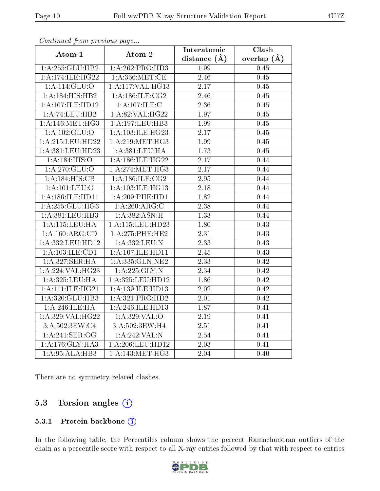| contentwow from procto we page |                               | Interatomic       | Clash             |
|--------------------------------|-------------------------------|-------------------|-------------------|
| Atom-1                         | Atom-2                        | distance $(\AA)$  | overlap $(\AA)$   |
| 1:A:255:GLU:HB2                | 1:A:262:PRO:HD3               | 1.99              | 0.45              |
| 1: A:174: ILE:HG22             | 1: A:356: MET:CE              | 2.46              | 0.45              |
| 1:A:114:GLU:O                  | 1:A:117:VAL:HG13              | $2.17\,$          | 0.45              |
| 1:A:184:HIS:HB2                | 1: A:186: ILE: CG2            | 2.46              | 0.45              |
| 1:A:107:ILE:HD12               | 1:A:107:ILE:C                 | 2.36              | 0.45              |
| 1:A:74:LEU:HB2                 | 1:A:82:VAL:HG22               | 1.97              | 0.45              |
| 1: A:146:MET:HG3               | 1:A:197:LEU:HB3               | 1.99              | 0.45              |
| 1:A:102:GLU:O                  | 1: A:103: ILE: HG23           | 2.17              | 0.45              |
| 1:A:215:LEU:HD22               | 1:A:219:MET:HG3               | 1.99              | 0.45              |
| 1:A:381:LEU:HD23               | 1:A:381:LEU:HA                | 1.73              | 0.45              |
| 1:A:184:HIS:O                  | 1:A:186:ILE:HG22              | 2.17              | 0.44              |
| 1:A:270:GLU:O                  | 1: A:274:MET:HG3              | 2.17              | 0.44              |
| 1:A:184:HIS:CB                 | 1: A:186: ILE: CG2            | 2.95              | 0.44              |
| 1: A: 101: LEU: O              | 1:A:103:ILE:HG13              | 2.18              | 0.44              |
| 1: A: 186: ILE: HD11           | $1: A:209:$ PHE:HD1           | 1.82              | 0.44              |
| 1:A:255:GLU:HG3                | 1:A:260:ARG:C                 | 2.38              | 0.44              |
| 1:A:381:LEU:HB3                | 1:A:382:ASN:H                 | 1.33              | 0.44              |
| 1:A:115:LEU:HA                 | 1:A:115:LEU:HD23              | 1.80              | 0.43              |
| 1:A:160:ARG:CD                 | 1:A:275:PHE:HE2               | $\overline{2.31}$ | 0.43              |
| 1:A:332:LEU:HD12               | 1:A:332:LEU:N                 | 2.33              | 0.43              |
| 1:A:103:ILE:CD1                | 1:A:107:ILE:HD11              | 2.45              | $\overline{0.43}$ |
| 1:A:327:SER:HA                 | 1:A:335:GLN:NE2               | 2.33              | 0.42              |
| 1:A:224:VAL:HG23               | 1: A:225: GLY:N               | 2.34              | 0.42              |
| 1:A:325:LEU:HA                 | 1:A:325:LEU:HD12              | 1.86              | 0.42              |
| 1: A:111: ILE: HG21            | 1:A:139:ILE:HD13              | 2.02              | 0.42              |
| 1: A:320: GLU:HB3              | 1:A:321:PRO:HD2               | 2.01              | 0.42              |
| 1:A:246:ILE:HA                 | 1:A:246:ILE:HD13              | 1.87              | 0.41              |
| 1: A:329: VAL: HG22            | 1:A:329:VAL:O                 | 2.19              | 0.41              |
| 3:A:502:3EW:C4                 | 3:A:502:3EW:H4                | 2.51              | 0.41              |
| 1: A:241: SER:OG               | 1:A:242:VAL:N                 | 2.54              | 0.41              |
| 1:A:176:GLY:HA3                | 1:A:206:LEU:HD12              | $\overline{2.03}$ | 0.41              |
| 1:A:95:ALA:HB3                 | $1: A:143:MET:H\overline{G3}$ | 2.04              | 0.40              |

Continued from previous page.

There are no symmetry-related clashes.

### 5.3 Torsion angles (i)

#### 5.3.1 Protein backbone (i)

In the following table, the Percentiles column shows the percent Ramachandran outliers of the chain as a percentile score with respect to all X-ray entries followed by that with respect to entries

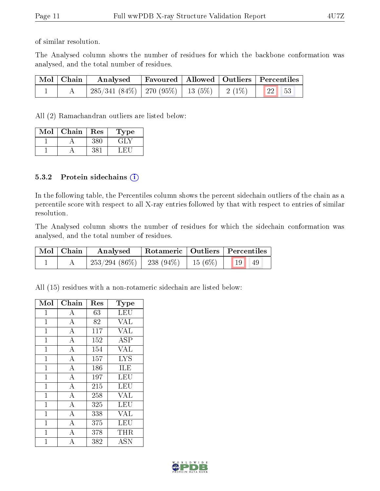of similar resolution.

The Analysed column shows the number of residues for which the backbone conformation was analysed, and the total number of residues.

| Mol   Chain | Analysed                                               |  | Favoured   Allowed   Outliers   Percentiles |
|-------------|--------------------------------------------------------|--|---------------------------------------------|
|             | $285/341(84\%)$   270 (95%)   13 (5%)   2 (1%)   22 53 |  |                                             |

All (2) Ramachandran outliers are listed below:

| Mol | Chain | Res | Type |
|-----|-------|-----|------|
|     |       |     |      |
|     |       |     |      |

#### 5.3.2 Protein sidechains  $(i)$

In the following table, the Percentiles column shows the percent sidechain outliers of the chain as a percentile score with respect to all X-ray entries followed by that with respect to entries of similar resolution.

The Analysed column shows the number of residues for which the sidechain conformation was analysed, and the total number of residues.

| Mol   Chain | Analysed   Rotameric   Outliers   Percentiles        |  |  |  |
|-------------|------------------------------------------------------|--|--|--|
|             | $\mid$ 253/294 (86%)   238 (94%)   15 (6%)   19   49 |  |  |  |

All (15) residues with a non-rotameric sidechain are listed below:

| Mol            | Chain              | Res | Type       |
|----------------|--------------------|-----|------------|
| $\mathbf 1$    | А                  | 63  | LEU        |
| $\mathbf{1}$   | $\bf{A}$           | 82  | <b>VAL</b> |
| $\mathbf{1}$   | $\overline{\rm A}$ | 117 | <b>VAL</b> |
| 1              | $\boldsymbol{A}$   | 152 | <b>ASP</b> |
| $\overline{1}$ | $\bf{A}$           | 154 | <b>VAL</b> |
| $\mathbf{1}$   | $\overline{A}$     | 157 | <b>LYS</b> |
| $\mathbf{1}$   | $\boldsymbol{A}$   | 186 | ILE        |
| $\overline{1}$ | $\overline{\rm A}$ | 197 | LEU        |
| $\mathbf{1}$   | $\overline{A}$     | 215 | LEU        |
| $\mathbf{1}$   | $\overline{A}$     | 258 | <b>VAL</b> |
| $\mathbf{1}$   | $\overline{\rm A}$ | 325 | LEU        |
| $\mathbf{1}$   | $\overline{\rm A}$ | 338 | VAL        |
| 1              | $\overline{\rm A}$ | 375 | LEU        |
| $\mathbf 1$    | A                  | 378 | THR.       |
| 1              | A                  | 382 | <b>ASN</b> |

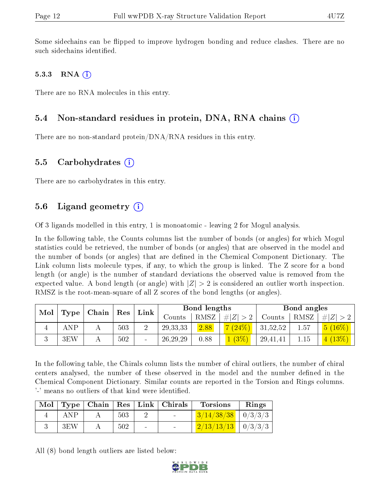Some sidechains can be flipped to improve hydrogen bonding and reduce clashes. There are no such sidechains identified.

#### 5.3.3 RNA  $(i)$

There are no RNA molecules in this entry.

### 5.4 Non-standard residues in protein, DNA, RNA chains (i)

There are no non-standard protein/DNA/RNA residues in this entry.

#### 5.5 Carbohydrates  $(i)$

There are no carbohydrates in this entry.

### 5.6 Ligand geometry  $(i)$

Of 3 ligands modelled in this entry, 1 is monoatomic - leaving 2 for Mogul analysis.

In the following table, the Counts columns list the number of bonds (or angles) for which Mogul statistics could be retrieved, the number of bonds (or angles) that are observed in the model and the number of bonds (or angles) that are dened in the Chemical Component Dictionary. The Link column lists molecule types, if any, to which the group is linked. The Z score for a bond length (or angle) is the number of standard deviations the observed value is removed from the expected value. A bond length (or angle) with  $|Z| > 2$  is considered an outlier worth inspection. RMSZ is the root-mean-square of all Z scores of the bond lengths (or angles).

| Mol | $\mid$ Chain $\mid$ Res |  |     |  |            |      |             |          |      |                            |  | ${\rm Link}$ | Bond lengths |  |  | Bond angles |  |  |
|-----|-------------------------|--|-----|--|------------|------|-------------|----------|------|----------------------------|--|--------------|--------------|--|--|-------------|--|--|
|     | Type                    |  |     |  | Counts     | RMSZ | # $ Z  > 2$ | Counts   | RMSZ | $\# Z  > 2$                |  |              |              |  |  |             |  |  |
|     | ANP                     |  | 503 |  | 29, 33, 33 | 2.88 | (7 (24%)    | 31,52,52 | 1.57 | $(16\%)$<br><sup>5</sup> ( |  |              |              |  |  |             |  |  |
|     | 3EW                     |  | 502 |  | 26, 29, 29 | 0.88 | 1(3%)       | 29,41,41 | 1.15 | (4(13%)                    |  |              |              |  |  |             |  |  |

In the following table, the Chirals column lists the number of chiral outliers, the number of chiral centers analysed, the number of these observed in the model and the number defined in the Chemical Component Dictionary. Similar counts are reported in the Torsion and Rings columns. '-' means no outliers of that kind were identified.

| Mol |     |     |        | $\mid$ Type $\mid$ Chain $\mid$ Res $\mid$ Link $\mid$ Chirals | <b>Torsions</b>          | Rings |
|-----|-----|-----|--------|----------------------------------------------------------------|--------------------------|-------|
|     | ANP | 503 |        | <b>Contract Contract</b>                                       | $3/14/38/38$   0/3/3/3   |       |
|     | 3EW | 502 | $\sim$ | <b>Contract Contract Contract</b>                              | $2/13/13/13$   $0/3/3/3$ |       |

All (8) bond length outliers are listed below:

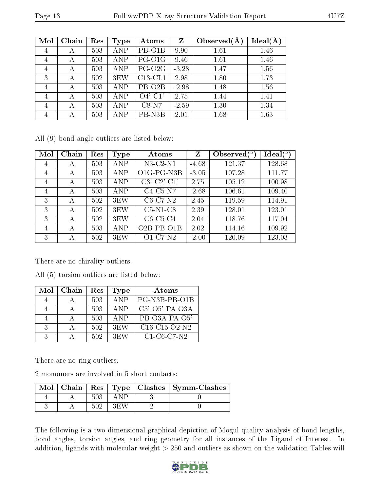| Mol | Chain | Res | Type             | Atoms               | Z       | Observed $(A)$ | Ideal(A) |
|-----|-------|-----|------------------|---------------------|---------|----------------|----------|
| 4   | А     | 503 | ANP              | PB-O1B              | 9.90    | 1.61           | 1.46     |
| 4   | А     | 503 | ANP              | PG-O1G              | 9.46    | 1.61           | 1.46     |
| 4   | А     | 503 | ANP              | PG-O2G              | $-3.28$ | 1.47           | 1.56     |
| 3   | А     | 502 | 3 <sub>E</sub> W | $C13$ -CL1          | 2.98    | 1.80           | 1.73     |
| 4   | А     | 503 | ANP              | PB-O <sub>2</sub> B | $-2.98$ | 1.48           | 1.56     |
| 4   | А     | 503 | ANP              | $O4'$ -C1'          | 2.75    | 1.44           | 1.41     |
| 4   | А     | 503 | ANP              | $C8-N7$             | $-2.59$ | 1.30           | 1.34     |
| 4   |       | 503 | ANP              | PB-N3B              | 2.01    | 1.68           | 1.63     |

All (9) bond angle outliers are listed below:

| Mol            | Chain | Res | Type             | Atoms         | Z       | Observed $\binom{o}{c}$ | Ideal(°) |
|----------------|-------|-----|------------------|---------------|---------|-------------------------|----------|
| 4              | А     | 503 | ANP              | $N3-C2-N1$    | $-4.68$ | 121.37                  | 128.68   |
| $\overline{4}$ | А     | 503 | <b>ANP</b>       | O1G-PG-N3B    | $-3.05$ | 107.28                  | 111.77   |
| $\overline{4}$ | А     | 503 | ANP              | $C3'-C2'-C1'$ | 2.75    | 105.12                  | 100.98   |
| $\overline{4}$ | А     | 503 | ANP              | $C4-C5-N7$    | $-2.68$ | 106.61                  | 109.40   |
| 3              | А     | 502 | 3 <sub>E</sub> W | $C6-C7-N2$    | 2.45    | 119.59                  | 114.91   |
| 3              | А     | 502 | 3 <sub>E</sub> W | $C5-N1-C8$    | 2.39    | 128.01                  | 123.01   |
| 3              | А     | 502 | 3 <sub>E</sub> W | $C6-C5-C4$    | 2.04    | 118.76                  | 117.04   |
| 4              | А     | 503 | <b>ANP</b>       | $O2B-PB-O1B$  | 2.02    | 114.16                  | 109.92   |
| 3              | А     | 502 | 3 <sub>E</sub> W | $O1-C7-N2$    | $-2.00$ | 120.09                  | 123.03   |

There are no chirality outliers.

|  |  | All (5) torsion outliers are listed below: |  |  |  |  |
|--|--|--------------------------------------------|--|--|--|--|
|--|--|--------------------------------------------|--|--|--|--|

| Mol            | Chain | Res | <b>Type</b>      | Atoms                                                            |
|----------------|-------|-----|------------------|------------------------------------------------------------------|
|                |       | 503 | ANP              | PG-N3B-PB-O1B                                                    |
| $\overline{4}$ |       | 503 | <b>ANP</b>       | $C5'$ -O5'-PA-O3A                                                |
|                |       | 503 | ANP              | PB-O3A-PA-O5'                                                    |
| $\mathcal{R}$  |       | 502 | 3 <sub>E</sub> W | C <sub>16</sub> -C <sub>15</sub> -O <sub>2</sub> -N <sub>2</sub> |
| $\mathcal{R}$  |       | 502 | 3EW              | $C1-C6-C7-N2$                                                    |

There are no ring outliers.

2 monomers are involved in 5 short contacts:

|  |  | Mol   Chain   Res   Type   Clashes   Symm-Clashes |
|--|--|---------------------------------------------------|
|  |  |                                                   |
|  |  |                                                   |

The following is a two-dimensional graphical depiction of Mogul quality analysis of bond lengths, bond angles, torsion angles, and ring geometry for all instances of the Ligand of Interest. In addition, ligands with molecular weight  $> 250$  and outliers as shown on the validation Tables will

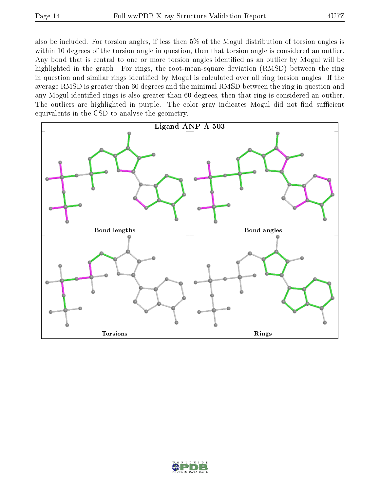also be included. For torsion angles, if less then 5% of the Mogul distribution of torsion angles is within 10 degrees of the torsion angle in question, then that torsion angle is considered an outlier. Any bond that is central to one or more torsion angles identified as an outlier by Mogul will be highlighted in the graph. For rings, the root-mean-square deviation (RMSD) between the ring in question and similar rings identified by Mogul is calculated over all ring torsion angles. If the average RMSD is greater than 60 degrees and the minimal RMSD between the ring in question and any Mogul-identified rings is also greater than 60 degrees, then that ring is considered an outlier. The outliers are highlighted in purple. The color gray indicates Mogul did not find sufficient equivalents in the CSD to analyse the geometry.



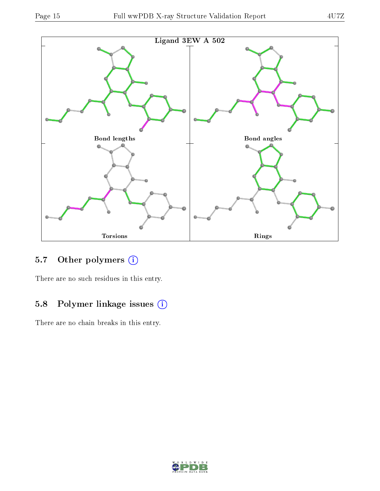

### 5.7 [O](https://www.wwpdb.org/validation/2017/XrayValidationReportHelp#nonstandard_residues_and_ligands)ther polymers (i)

There are no such residues in this entry.

### 5.8 Polymer linkage issues (i)

There are no chain breaks in this entry.

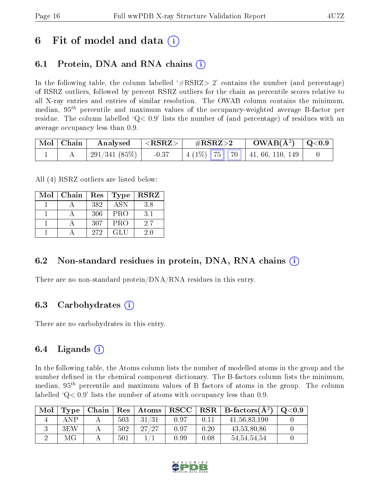## 6 Fit of model and data  $\left( \cdot \right)$

### 6.1 Protein, DNA and RNA chains (i)

In the following table, the column labelled  $#RSRZ>2'$  contains the number (and percentage) of RSRZ outliers, followed by percent RSRZ outliers for the chain as percentile scores relative to all X-ray entries and entries of similar resolution. The OWAB column contains the minimum, median,  $95<sup>th</sup>$  percentile and maximum values of the occupancy-weighted average B-factor per residue. The column labelled  $Q < 0.9$  lists the number of (and percentage) of residues with an average occupancy less than 0.9.

| Mol   Chain | Analysed $ \langle \text{RSRZ}\rangle $ |         | $\rm \#RSRZ{>}2$                      | $\rm{OWAB}(\rm{\AA}^2)$   Q<0.9 |  |
|-------------|-----------------------------------------|---------|---------------------------------------|---------------------------------|--|
|             | 291/341 (85%)                           | $-0.37$ | $\mid$ 4 (1\%) 75 70 41, 66, 110, 149 |                                 |  |

All (4) RSRZ outliers are listed below:

| Mol | Chain | Res | Type       | $_{\rm RSRZ}$ |
|-----|-------|-----|------------|---------------|
|     |       | 382 | <b>ASN</b> | 3.8           |
|     |       | 306 | <b>PRO</b> | 3.1           |
|     |       | 307 | <b>PRO</b> | 2.7           |
|     |       | 272 | GL U       | 20            |

### 6.2 Non-standard residues in protein, DNA, RNA chains  $(i)$

There are no non-standard protein/DNA/RNA residues in this entry.

### 6.3 Carbohydrates (i)

There are no carbohydrates in this entry.

### 6.4 Ligands  $(i)$

In the following table, the Atoms column lists the number of modelled atoms in the group and the number defined in the chemical component dictionary. The B-factors column lists the minimum, median,  $95<sup>th</sup>$  percentile and maximum values of B factors of atoms in the group. The column labelled  $Q< 0.9$  lists the number of atoms with occupancy less than 0.9.

| Mol | Type | Chain |     | $\mid$ Res $\mid$ Atoms |      |      | $RSCC$ RSR $B$ -factors $(A2)$ | $\mathrm{O}{<}0.9$ |
|-----|------|-------|-----|-------------------------|------|------|--------------------------------|--------------------|
|     | AΝΡ  |       | 503 | 31/31                   | 0.97 | 0.11 | 41, 56, 83, 190                |                    |
|     | 3EW  |       | 502 | 27/27                   | 0.97 | 0.20 | 43,53,80,86                    |                    |
|     |      |       | 501 |                         | 0.99 | 0.08 | 54,54,54,54                    |                    |

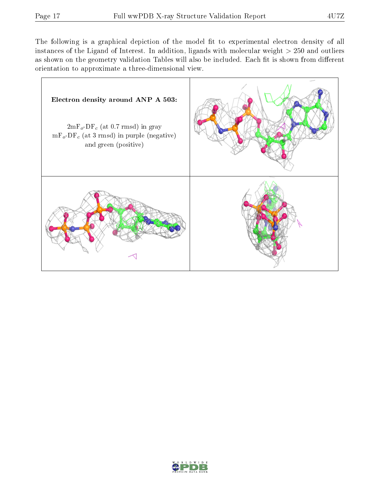The following is a graphical depiction of the model fit to experimental electron density of all instances of the Ligand of Interest. In addition, ligands with molecular weight  $> 250$  and outliers as shown on the geometry validation Tables will also be included. Each fit is shown from different orientation to approximate a three-dimensional view.